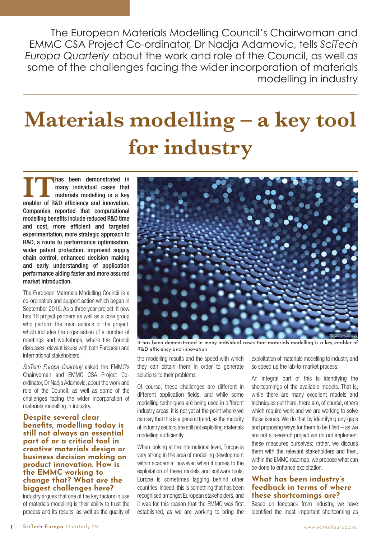The European Materials Modelling Council's Chairwoman and EMMC CSA Project Co-ordinator, Dr Nadja Adamovic, tells *SciTech Europa Quarterly* about the work and role of the Council, as well as some of the challenges facing the wider incorporation of materials modelling in industry

# **Materials modelling – a key tool for industry**

**ITT** has been demonstrated in<br>many individual cases that<br>materials modelling is a key<br>enabler of R&D efficiency and innovation. many individual cases that materials modelling is a key Companies reported that computational modelling benefits include reduced R&D time and cost, more efficient and targeted experimentation, more strategic approach to R&D, a route to performance optimisation, wider patent protection, improved supply chain control, enhanced decision making and early understanding of application performance aiding faster and more assured market introduction.

The [European Materials Modelling Council](http://www.emmc.info) is a co-ordination and support action which began in September 2016. As a three year project, it now has 16 project partners as well as a core group who perform the main actions of the project, which includes the organisation of a number of meetings and workshops, where the Council discusses relevant issues with both European and international stakeholders.

SciTech Europa Quarterly asked the [EMMC's](http://www.emmc.info)  Chairwoman and EMMC CSA Project Coordinator, Dr Nadja Adamovic, about the work and role of the Council, as well as some of the challenges facing the wider incorporation of materials modelling in industry.

**Despite several clear benefits, modelling today is still not always an essential part of or a critical tool in creative materials design or business decision making on product innovation. How is the EMMC working to change that? What are the biggest challenges here?**

Industry argues that one of the key factors in use of materials modelling is their ability to trust the process and its results, as well as the quality of



It has been demonstrated in many individual cases that materials modelling is a key enabler of R&D efficiency and innovation

the modelling results and the speed with which they can obtain them in order to generate solutions to their problems.

Of course, these challenges are different in different application fields, and while some modelling techniques are being used in different industry areas, it is not yet at the point where we can say that this is a general trend, as the majority of industry sectors are still not exploiting materials modelling sufficiently.

When looking at the international level, Europe is very strong in the area of modelling development within academia; however, when it comes to the exploitation of these models and software tools, Europe is sometimes lagging behind other countries. Indeed, this is something that has been recognised amongst European stakeholders, and it was for this reason that the EMMC was first established, as we are working to bring the

exploitation of materials modelling to industry and so speed up the lab-to-market process.

An integral part of this is identifying the shortcomings of the available models. That is, while there are many excellent models and techniques out there, there are, of course, others which require work and we are working to solve those issues. We do that by identifying any gaps and proposing ways for them to be filled  $-$  as we are not a research project we do not implement these measures ourselves; rather, we discuss them with the relevant stakeholders and then, within the EMMC roadmap, we propose what can be done to enhance exploitation.

# **What has been industry's feedback in terms of where these shortcomings are?**

Based on feedback from industry, we have identified the most important shortcoming as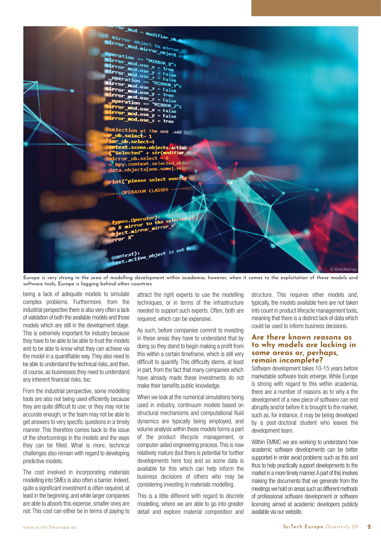

Europe is very strong in the area of modelling development within academia; however, when it comes to the exploitation of these models and software tools, Europe is lagging behind other countries

being a lack of adequate models to simulate complex problems. Furthermore, from the industrial perspective there is also very often a lack of validation of both the available models and those models which are still in the development stage. This is extremely important for industry because they have to be able to be able to trust the models and to be able to know what they can achieve via the model in a quantifiable way. They also need to be able to understand the technical risks, and then, of course, as businesses they need to understand any inherent financial risks, too.

From the industrial perspective, some modelling tools are also not being used efficiently because they are quite difficult to use; or they may not be accurate enough; or the team may not be able to get answers to very specific questions in a timely manner. This therefore comes back to the issue of the shortcomings in the models and the ways they can be filled. What is more, technical challenges also remain with regard to developing predictive models.

The cost involved in incorporating materials modelling into SMEs is also often a barrier. Indeed, quite a significant investment is often required, at least in the beginning, and while larger companies are able to absorb this expense, smaller ones are not. This cost can either be in terms of paying to

attract the right experts to use the modelling techniques, or in terms of the infrastructure needed to support such experts. Often, both are required, which can be expensive.

As such, before companies commit to investing in these areas they have to understand that by doing so they stand to begin making a profit from this within a certain timeframe, which is still very difficult to quantify. This difficulty stems, at least in part, from the fact that many companies which have already made these investments do not make their benefits public knowledge.

When we look at the numerical simulations being used in industry, continuum models based on structural mechanisms and computational fluid dynamics are typically being employed, and volume analysis within these models forms a part of the product lifecycle management, or computer-aided engineering process. This is now relatively mature (but there is potential for further developments here too) and so some data is available for this which can help inform the business decisions of others who may be considering investing in materials modelling.

This is a little different with regard to discrete modelling, where we are able to go into greater detail and explore material composition and structure. This requires other models and, typically, the models available here are not taken into count in product lifecycle management tools, meaning that there is a distinct lack of data which could be used to inform business decisions.

## **Are there known reasons as to why models are lacking in some areas or, perhaps, remain incomplete?**

Software development takes 10-15 years before marketable software tools emerge. While Europe is strong with regard to this within academia, there are a number of reasons as to why a the development of a new piece of software can end abruptly and/or before it is brought to the market, such as, for instance, it may be being developed by a post-doctoral student who leaves the development team.

Within EMMC we are working to understand how academic software developments can be better supported in order avoid problems such as this and thus to help practically support developments to the market in a more timely manner. A part of this involves making the documents that we generate from the meetings we hold on areas such as different methods of professional software development or software licensing aimed at academic developers publicly available via our website.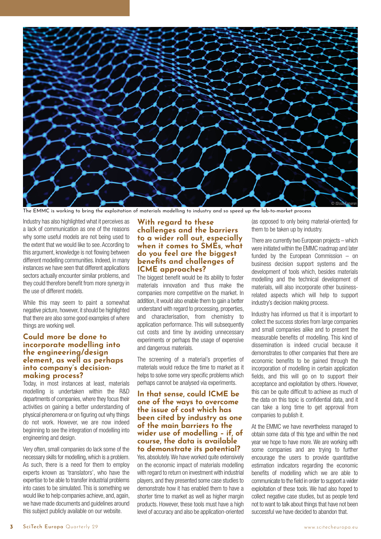

The EMMC is working to bring the exploitation of materials modelling to industry and so speed up the lab-to-market process

Industry has also highlighted what it perceives as a lack of communication as one of the reasons why some useful models are not being used to the extent that we would like to see. According to this argument, knowledge is not flowing between different modelling communities. Indeed, in many instances we have seen that different applications sectors actually encounter similar problems, and they could therefore benefit from more synergy in the use of different models.

While this may seem to paint a somewhat negative picture, however, it should be highlighted that there are also some good examples of where things are working well.

# **Could more be done to incorporate modelling into the engineering/design element, as well as perhaps into company's decisionmaking process?**

Today, in most instances at least, materials modelling is undertaken within the R&D departments of companies, where they focus their activities on gaining a better understanding of physical phenomena or on figuring out why things do not work. However, we are now indeed beginning to see the integration of modelling into engineering and design.

Very often, small companies do lack some of the necessary skills for modelling, which is a problem. As such, there is a need for them to employ experts known as 'translators', who have the expertise to be able to transfer industrial problems into cases to be simulated. This is something we would like to help companies achieve, and, again, we have made documents and guidelines around this subject publicly available on our website.

# **With regard to these challenges and the barriers to a wider roll out, especially when it comes to SMEs, what do you feel are the biggest benefits and challenges of ICME approaches?**

The biggest benefit would be its ability to foster materials innovation and thus make the companies more competitive on the market. In addition, it would also enable them to gain a better understand with regard to processing, properties, and characterisation, from chemistry to application performance. This will subsequently cut costs and time by avoiding unnecessary experiments or perhaps the usage of expensive and dangerous materials.

The screening of a material's properties of materials would reduce the time to market as it helps to solve some very specific problems which perhaps cannot be analysed via experiments.

### **In that sense, could ICME be one of the ways to overcome the issue of cost which has been cited by industry as one of the main barriers to the wider use of modelling – if, of course, the data is available to demonstrate its potential?**

Yes, absolutely. We have worked quite extensively on the economic impact of materials modelling with regard to return on investment with industrial players, and they presented some case studies to demonstrate how it has enabled them to have a shorter time to market as well as higher margin products. However, these tools must have a high level of accuracy and also be application-oriented (as opposed to only being material-oriented) for them to be taken up by industry.

There are currently two European projects – which were initiated within the EMMC roadmap and later funded by the European Commission – on business decision support systems and the development of tools which, besides materials modelling and the technical development of materials, will also incorporate other businessrelated aspects which will help to support industry's decision making process.

Industry has informed us that it is important to collect the success stories from large companies and small companies alike and to present the measurable benefits of modelling. This kind of dissemination is indeed crucial because it demonstrates to other companies that there are economic benefits to be gained through the incorporation of modelling in certain application fields, and this will go on to support their acceptance and exploitation by others. However, this can be quite difficult to achieve as much of the data on this topic is confidential data, and it can take a long time to get approval from companies to publish it.

At the EMMC we have nevertheless managed to obtain some data of this type and within the next year we hope to have more. We are working with some companies and are trying to further encourage the users to provide quantitative estimation indicators regarding the economic benefits of modelling which we are able to communicate to the field in order to support a wider exploitation of these tools. We had also hoped to collect negative case studies, but as people tend not to want to talk about things that have not been successful we have decided to abandon that.